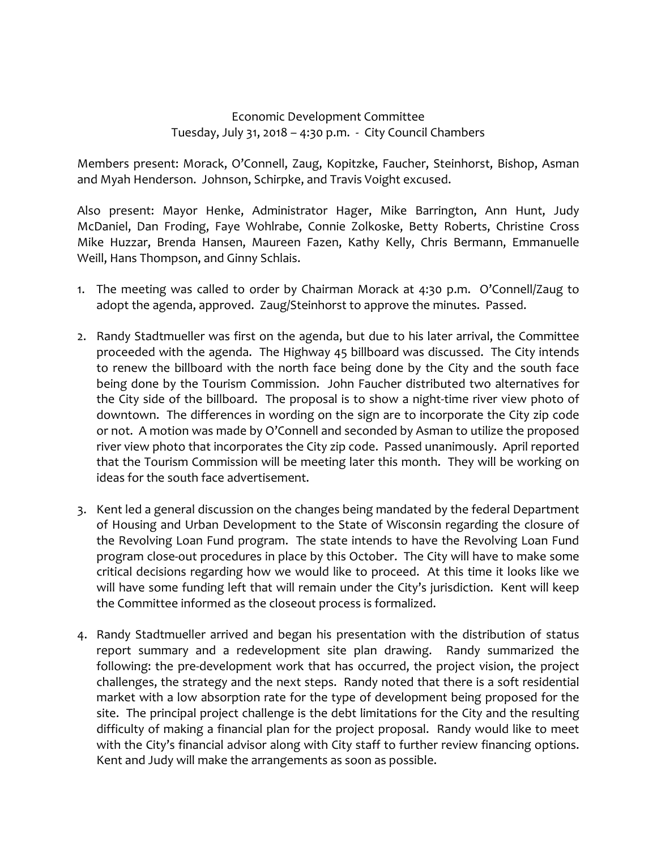## Economic Development Committee Tuesday, July 31, 2018 – 4:30 p.m. ‐ City Council Chambers

Members present: Morack, O'Connell, Zaug, Kopitzke, Faucher, Steinhorst, Bishop, Asman and Myah Henderson. Johnson, Schirpke, and Travis Voight excused.

Also present: Mayor Henke, Administrator Hager, Mike Barrington, Ann Hunt, Judy McDaniel, Dan Froding, Faye Wohlrabe, Connie Zolkoske, Betty Roberts, Christine Cross Mike Huzzar, Brenda Hansen, Maureen Fazen, Kathy Kelly, Chris Bermann, Emmanuelle Weill, Hans Thompson, and Ginny Schlais.

- 1. The meeting was called to order by Chairman Morack at 4:30 p.m. O'Connell/Zaug to adopt the agenda, approved. Zaug/Steinhorst to approve the minutes. Passed.
- 2. Randy Stadtmueller was first on the agenda, but due to his later arrival, the Committee proceeded with the agenda. The Highway 45 billboard was discussed. The City intends to renew the billboard with the north face being done by the City and the south face being done by the Tourism Commission. John Faucher distributed two alternatives for the City side of the billboard. The proposal is to show a night‐time river view photo of downtown. The differences in wording on the sign are to incorporate the City zip code or not. A motion was made by O'Connell and seconded by Asman to utilize the proposed river view photo that incorporates the City zip code. Passed unanimously. April reported that the Tourism Commission will be meeting later this month. They will be working on ideas for the south face advertisement.
- 3. Kent led a general discussion on the changes being mandated by the federal Department of Housing and Urban Development to the State of Wisconsin regarding the closure of the Revolving Loan Fund program. The state intends to have the Revolving Loan Fund program close-out procedures in place by this October. The City will have to make some critical decisions regarding how we would like to proceed. At this time it looks like we will have some funding left that will remain under the City's jurisdiction. Kent will keep the Committee informed as the closeout process is formalized.
- 4. Randy Stadtmueller arrived and began his presentation with the distribution of status report summary and a redevelopment site plan drawing. Randy summarized the following: the pre‐development work that has occurred, the project vision, the project challenges, the strategy and the next steps. Randy noted that there is a soft residential market with a low absorption rate for the type of development being proposed for the site. The principal project challenge is the debt limitations for the City and the resulting difficulty of making a financial plan for the project proposal. Randy would like to meet with the City's financial advisor along with City staff to further review financing options. Kent and Judy will make the arrangements as soon as possible.